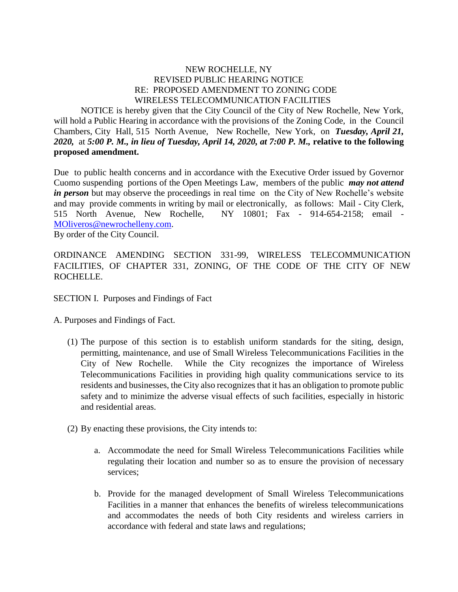#### NEW ROCHELLE, NY REVISED PUBLIC HEARING NOTICE RE: PROPOSED AMENDMENT TO ZONING CODE WIRELESS TELECOMMUNICATION FACILITIES

NOTICE is hereby given that the City Council of the City of New Rochelle, New York, will hold a Public Hearing in accordance with the provisions of the Zoning Code, in the Council Chambers, City Hall, 515 North Avenue, New Rochelle, New York, on *Tuesday, April 21, 2020,* at *5:00 P. M., in lieu of Tuesday, April 14, 2020, at 7:00 P. M.,* **relative to the following proposed amendment.**

Due to public health concerns and in accordance with the Executive Order issued by Governor Cuomo suspending portions of the Open Meetings Law, members of the public *may not attend in person* but may observe the proceedings in real time on the City of New Rochelle's website and may provide comments in writing by mail or electronically, as follows: Mail - City Clerk, 515 North Avenue, New Rochelle, NY 10801; Fax - 914-654-2158; email - [MOliveros@newrochelleny.com.](mailto:MOliveros@newrochelleny.com) By order of the City Council.

ORDINANCE AMENDING SECTION 331-99, WIRELESS TELECOMMUNICATION FACILITIES, OF CHAPTER 331, ZONING*,* OF THE CODE OF THE CITY OF NEW ROCHELLE.

SECTION I. Purposes and Findings of Fact

A. Purposes and Findings of Fact.

- (1) The purpose of this section is to establish uniform standards for the siting, design, permitting, maintenance, and use of Small Wireless Telecommunications Facilities in the City of New Rochelle. While the City recognizes the importance of Wireless Telecommunications Facilities in providing high quality communications service to its residents and businesses, the City also recognizes that it has an obligation to promote public safety and to minimize the adverse visual effects of such facilities, especially in historic and residential areas.
- (2) By enacting these provisions, the City intends to:
	- a. Accommodate the need for Small Wireless Telecommunications Facilities while regulating their location and number so as to ensure the provision of necessary services;
	- b. Provide for the managed development of Small Wireless Telecommunications Facilities in a manner that enhances the benefits of wireless telecommunications and accommodates the needs of both City residents and wireless carriers in accordance with federal and state laws and regulations;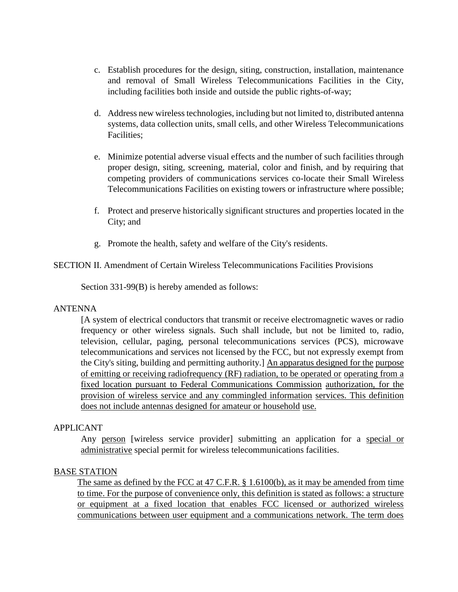- c. Establish procedures for the design, siting, construction, installation, maintenance and removal of Small Wireless Telecommunications Facilities in the City, including facilities both inside and outside the public rights-of-way;
- d. Address new wireless technologies, including but not limited to, distributed antenna systems, data collection units, small cells, and other Wireless Telecommunications Facilities;
- e. Minimize potential adverse visual effects and the number of such facilities through proper design, siting, screening, material, color and finish, and by requiring that competing providers of communications services co-locate their Small Wireless Telecommunications Facilities on existing towers or infrastructure where possible;
- f. Protect and preserve historically significant structures and properties located in the City; and
- g. Promote the health, safety and welfare of the City's residents.

# SECTION II. Amendment of Certain Wireless Telecommunications Facilities Provisions

Section 331-99(B) is hereby amended as follows:

### ANTENNA

[A system of electrical conductors that transmit or receive electromagnetic waves or radio frequency or other wireless signals. Such shall include, but not be limited to, radio, television, cellular, paging, personal telecommunications services (PCS), microwave telecommunications and services not licensed by the FCC, but not expressly exempt from the City's siting, building and permitting authority.] An apparatus designed for the purpose of emitting or receiving radiofrequency (RF) radiation, to be operated or operating from a fixed location pursuant to Federal Communications Commission authorization, for the provision of wireless service and any commingled information services. This definition does not include antennas designed for amateur or household use.

### APPLICANT

Any person [wireless service provider] submitting an application for a special or administrative special permit for wireless telecommunications facilities.

### BASE STATION

The same as defined by the FCC at 47 C.F.R. § 1.6100(b), as it may be amended from time to time. For the purpose of convenience only, this definition is stated as follows: a structure or equipment at a fixed location that enables FCC licensed or authorized wireless communications between user equipment and a communications network. The term does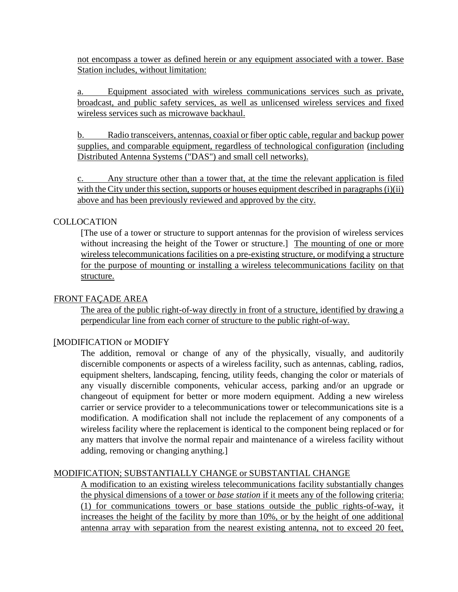not encompass a tower as defined herein or any equipment associated with a tower. Base Station includes, without limitation:

a. Equipment associated with wireless communications services such as private, broadcast, and public safety services, as well as unlicensed wireless services and fixed wireless services such as microwave backhaul.

b. Radio transceivers, antennas, coaxial or fiber optic cable, regular and backup power supplies, and comparable equipment, regardless of technological configuration (including Distributed Antenna Systems ("DAS") and small cell networks).

c. Any structure other than a tower that, at the time the relevant application is filed with the City under this section, supports or houses equipment described in paragraphs (i)(ii) above and has been previously reviewed and approved by the city.

### **COLLOCATION**

[The use of a tower or structure to support antennas for the provision of wireless services without increasing the height of the Tower or structure.] The mounting of one or more wireless telecommunications facilities on a pre-existing structure, or modifying a structure for the purpose of mounting or installing a wireless telecommunications facility on that structure.

#### FRONT FAÇADE AREA

The area of the public right-of-way directly in front of a structure, identified by drawing a perpendicular line from each corner of structure to the public right-of-way.

### [MODIFICATION or MODIFY

The addition, removal or change of any of the physically, visually, and auditorily discernible components or aspects of a wireless facility, such as antennas, cabling, radios, equipment shelters, landscaping, fencing, utility feeds, changing the color or materials of any visually discernible components, vehicular access, parking and/or an upgrade or changeout of equipment for better or more modern equipment. Adding a new wireless carrier or service provider to a telecommunications tower or telecommunications site is a modification. A modification shall not include the replacement of any components of a wireless facility where the replacement is identical to the component being replaced or for any matters that involve the normal repair and maintenance of a wireless facility without adding, removing or changing anything.]

### MODIFICATION; SUBSTANTIALLY CHANGE or SUBSTANTIAL CHANGE

A modification to an existing wireless telecommunications facility substantially changes the physical dimensions of a tower or *base station* if it meets any of the following criteria: (1) for communications towers or base stations outside the public rights-of-way, it increases the height of the facility by more than 10%, or by the height of one additional antenna array with separation from the nearest existing antenna, not to exceed 20 feet,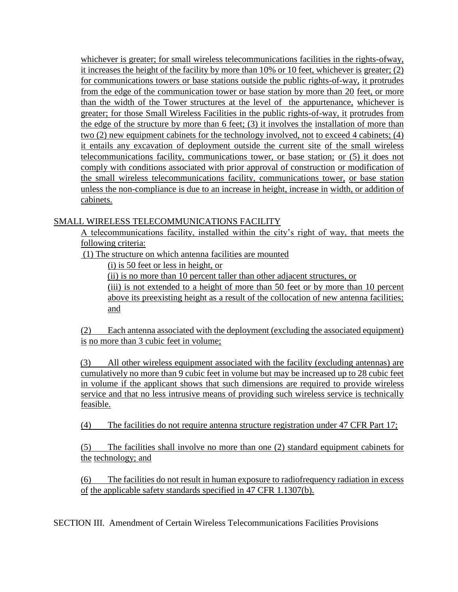whichever is greater; for small wireless telecommunications facilities in the rights-ofway, it increases the height of the facility by more than 10% or 10 feet, whichever is greater; (2) for communications towers or base stations outside the public rights-of-way, it protrudes from the edge of the communication tower or base station by more than 20 feet, or more than the width of the Tower structures at the level of the appurtenance, whichever is greater; for those Small Wireless Facilities in the public rights-of-way, it protrudes from the edge of the structure by more than 6 feet; (3) it involves the installation of more than two (2) new equipment cabinets for the technology involved, not to exceed 4 cabinets; (4) it entails any excavation of deployment outside the current site of the small wireless telecommunications facility, communications tower, or base station; or (5) it does not comply with conditions associated with prior approval of construction or modification of the small wireless telecommunications facility, communications tower, or base station unless the non-compliance is due to an increase in height, increase in width, or addition of cabinets.

# SMALL WIRELESS TELECOMMUNICATIONS FACILITY

A telecommunications facility, installed within the city's right of way, that meets the following criteria:

(1) The structure on which antenna facilities are mounted

(i) is 50 feet or less in height, or

(ii) is no more than 10 percent taller than other adjacent structures, or

(iii) is not extended to a height of more than 50 feet or by more than 10 percent above its preexisting height as a result of the collocation of new antenna facilities; and

(2) Each antenna associated with the deployment (excluding the associated equipment) is no more than 3 cubic feet in volume;

 (3) All other wireless equipment associated with the facility (excluding antennas) are cumulatively no more than 9 cubic feet in volume but may be increased up to 28 cubic feet in volume if the applicant shows that such dimensions are required to provide wireless service and that no less intrusive means of providing such wireless service is technically feasible.

(4) The facilities do not require antenna structure registration under 47 CFR Part 17;

(5) The facilities shall involve no more than one (2) standard equipment cabinets for the technology; and

(6) The facilities do not result in human exposure to radiofrequency radiation in excess of the applicable safety standards specified in 47 CFR 1.1307(b).

SECTION III. Amendment of Certain Wireless Telecommunications Facilities Provisions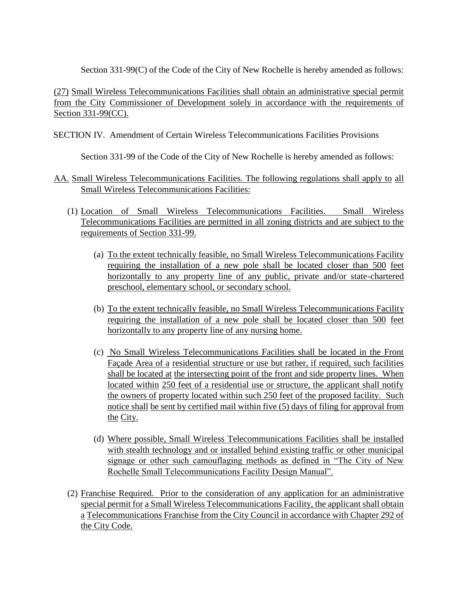Section 331-99(C) of the Code of the City of New Rochelle is hereby amended as follows:

(27) Small Wireless Telecommunications Facilities shall obtain an administrative special permit from the City Commissioner of Development solely in accordance with the requirements of Section 331-99(CC).

## SECTION IV. Amendment of Certain Wireless Telecommunications Facilities Provisions

Section 331-99 of the Code of the City of New Rochelle is hereby amended as follows:

# AA. Small Wireless Telecommunications Facilities. The following regulations shall apply to all Small Wireless Telecommunications Facilities:

- (1) Location of Small Wireless Telecommunications Facilities. Small Wireless Telecommunications Facilities are permitted in all zoning districts and are subject to the requirements of Section 331-99.
	- (a) To the extent technically feasible, no Small Wireless Telecommunications Facility requiring the installation of a new pole shall be located closer than 500 feet horizontally to any property line of any public, private and/or state-chartered preschool, elementary school, or secondary school.
	- (b) To the extent technically feasible, no Small Wireless Telecommunications Facility requiring the installation of a new pole shall be located closer than 500 feet horizontally to any property line of any nursing home.
	- (c) No Small Wireless Telecommunications Facilities shall be located in the Front Façade Area of a residential structure or use but rather, if required, such facilities shall be located at the intersecting point of the front and side property lines. When located within 250 feet of a residential use or structure, the applicant shall notify the owners of property located within such 250 feet of the proposed facility. Such notice shall be sent by certified mail within five (5) days of filing for approval from the City.
	- (d) Where possible, Small Wireless Telecommunications Facilities shall be installed with stealth technology and or installed behind existing traffic or other municipal signage or other such camouflaging methods as defined in "The City of New Rochelle Small Telecommunications Facility Design Manual".
- (2) Franchise Required. Prior to the consideration of any application for an administrative special permit for a Small Wireless Telecommunications Facility, the applicant shall obtain a Telecommunications Franchise from the City Council in accordance with Chapter 292 of the City Code.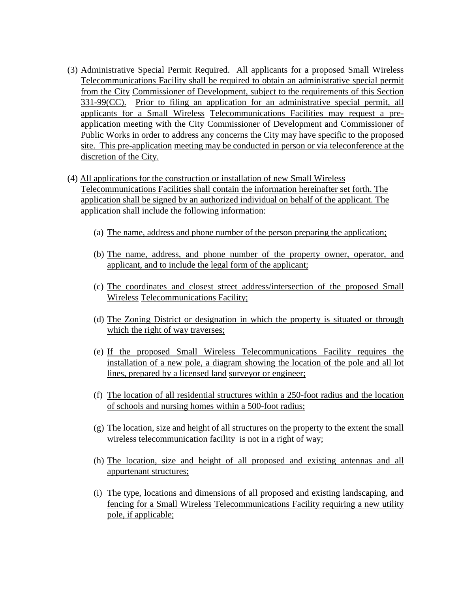- (3) Administrative Special Permit Required. All applicants for a proposed Small Wireless Telecommunications Facility shall be required to obtain an administrative special permit from the City Commissioner of Development, subject to the requirements of this Section 331-99(CC). Prior to filing an application for an administrative special permit, all applicants for a Small Wireless Telecommunications Facilities may request a preapplication meeting with the City Commissioner of Development and Commissioner of Public Works in order to address any concerns the City may have specific to the proposed site. This pre-application meeting may be conducted in person or via teleconference at the discretion of the City.
- (4) All applications for the construction or installation of new Small Wireless Telecommunications Facilities shall contain the information hereinafter set forth. The application shall be signed by an authorized individual on behalf of the applicant. The application shall include the following information:
	- (a) The name, address and phone number of the person preparing the application;
	- (b) The name, address, and phone number of the property owner, operator, and applicant, and to include the legal form of the applicant;
	- (c) The coordinates and closest street address/intersection of the proposed Small Wireless Telecommunications Facility;
	- (d) The Zoning District or designation in which the property is situated or through which the right of way traverses;
	- (e) If the proposed Small Wireless Telecommunications Facility requires the installation of a new pole, a diagram showing the location of the pole and all lot lines, prepared by a licensed land surveyor or engineer;
	- (f) The location of all residential structures within a 250-foot radius and the location of schools and nursing homes within a 500-foot radius;
	- (g) The location, size and height of all structures on the property to the extent the small wireless telecommunication facility is not in a right of way;
	- (h) The location, size and height of all proposed and existing antennas and all appurtenant structures;
	- (i) The type, locations and dimensions of all proposed and existing landscaping, and fencing for a Small Wireless Telecommunications Facility requiring a new utility pole, if applicable;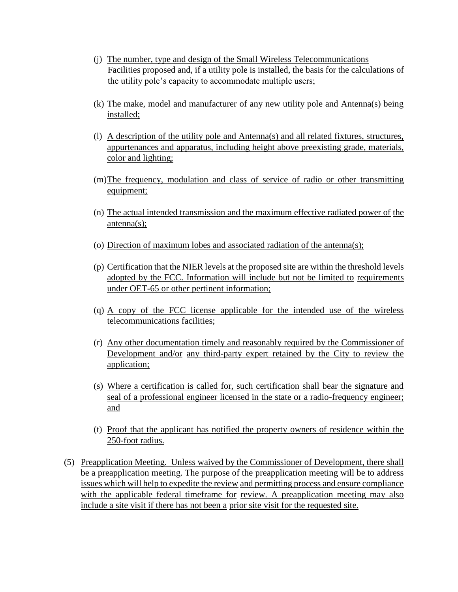- (j) The number, type and design of the Small Wireless Telecommunications Facilities proposed and, if a utility pole is installed, the basis for the calculations of the utility pole's capacity to accommodate multiple users;
- (k) The make, model and manufacturer of any new utility pole and Antenna(s) being installed;
- (l) A description of the utility pole and Antenna(s) and all related fixtures, structures, appurtenances and apparatus, including height above preexisting grade, materials, color and lighting;
- (m)The frequency, modulation and class of service of radio or other transmitting equipment;
- (n) The actual intended transmission and the maximum effective radiated power of the antenna(s);
- (o) Direction of maximum lobes and associated radiation of the antenna(s);
- (p) Certification that the NIER levels at the proposed site are within the threshold levels adopted by the FCC. Information will include but not be limited to requirements under OET-65 or other pertinent information;
- (q) A copy of the FCC license applicable for the intended use of the wireless telecommunications facilities;
- (r) Any other documentation timely and reasonably required by the Commissioner of Development and/or any third-party expert retained by the City to review the application;
- (s) Where a certification is called for, such certification shall bear the signature and seal of a professional engineer licensed in the state or a radio-frequency engineer; and
- (t) Proof that the applicant has notified the property owners of residence within the 250-foot radius.
- (5) Preapplication Meeting. Unless waived by the Commissioner of Development, there shall be a preapplication meeting. The purpose of the preapplication meeting will be to address issues which will help to expedite the review and permitting process and ensure compliance with the applicable federal timeframe for review. A preapplication meeting may also include a site visit if there has not been a prior site visit for the requested site.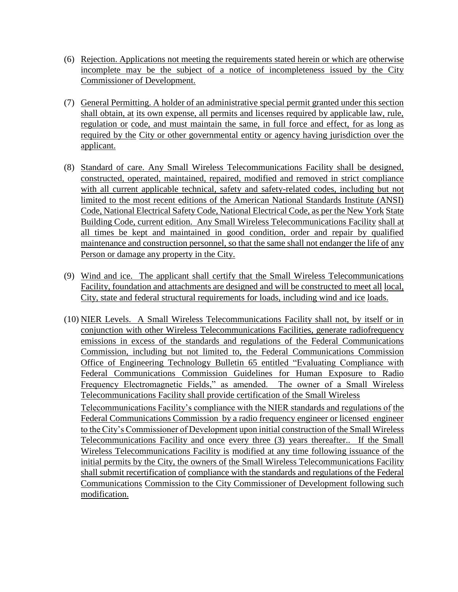- (6) Rejection. Applications not meeting the requirements stated herein or which are otherwise incomplete may be the subject of a notice of incompleteness issued by the City Commissioner of Development.
- (7) General Permitting. A holder of an administrative special permit granted under this section shall obtain, at its own expense, all permits and licenses required by applicable law, rule, regulation or code, and must maintain the same, in full force and effect, for as long as required by the City or other governmental entity or agency having jurisdiction over the applicant.
- (8) Standard of care. Any Small Wireless Telecommunications Facility shall be designed, constructed, operated, maintained, repaired, modified and removed in strict compliance with all current applicable technical, safety and safety-related codes, including but not limited to the most recent editions of the American National Standards Institute (ANSI) Code, National Electrical Safety Code, National Electrical Code, as per the New York State Building Code, current edition. Any Small Wireless Telecommunications Facility shall at all times be kept and maintained in good condition, order and repair by qualified maintenance and construction personnel, so that the same shall not endanger the life of any Person or damage any property in the City.
- (9) Wind and ice. The applicant shall certify that the Small Wireless Telecommunications Facility, foundation and attachments are designed and will be constructed to meet all local, City, state and federal structural requirements for loads, including wind and ice loads.
- (10) NIER Levels. A Small Wireless Telecommunications Facility shall not, by itself or in conjunction with other Wireless Telecommunications Facilities, generate radiofrequency emissions in excess of the standards and regulations of the Federal Communications Commission, including but not limited to, the Federal Communications Commission Office of Engineering Technology Bulletin 65 entitled "Evaluating Compliance with Federal Communications Commission Guidelines for Human Exposure to Radio Frequency Electromagnetic Fields," as amended. The owner of a Small Wireless Telecommunications Facility shall provide certification of the Small Wireless Telecommunications Facility's compliance with the NIER standards and regulations of the Federal Communications Commission by a radio frequency engineer or licensed engineer to the City's Commissioner of Development upon initial construction of the Small Wireless Telecommunications Facility and once every three (3) years thereafter.. If the Small Wireless Telecommunications Facility is modified at any time following issuance of the initial permits by the City, the owners of the Small Wireless Telecommunications Facility shall submit recertification of compliance with the standards and regulations of the Federal Communications Commission to the City Commissioner of Development following such modification.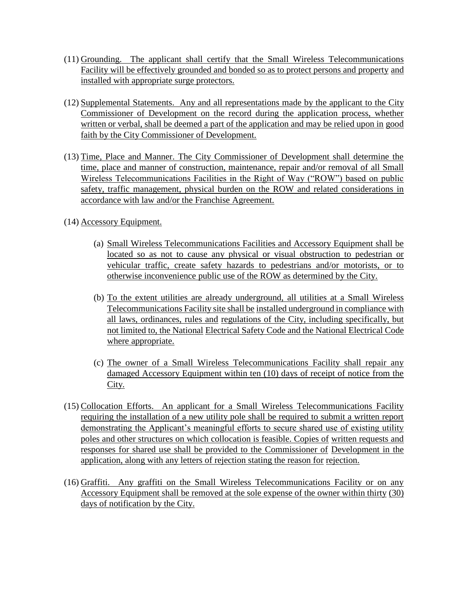- (11) Grounding. The applicant shall certify that the Small Wireless Telecommunications Facility will be effectively grounded and bonded so as to protect persons and property and installed with appropriate surge protectors.
- (12) Supplemental Statements. Any and all representations made by the applicant to the City Commissioner of Development on the record during the application process, whether written or verbal, shall be deemed a part of the application and may be relied upon in good faith by the City Commissioner of Development.
- (13) Time, Place and Manner. The City Commissioner of Development shall determine the time, place and manner of construction, maintenance, repair and/or removal of all Small Wireless Telecommunications Facilities in the Right of Way ("ROW") based on public safety, traffic management, physical burden on the ROW and related considerations in accordance with law and/or the Franchise Agreement.
- (14) Accessory Equipment.
	- (a) Small Wireless Telecommunications Facilities and Accessory Equipment shall be located so as not to cause any physical or visual obstruction to pedestrian or vehicular traffic, create safety hazards to pedestrians and/or motorists, or to otherwise inconvenience public use of the ROW as determined by the City.
	- (b) To the extent utilities are already underground, all utilities at a Small Wireless Telecommunications Facility site shall be installed underground in compliance with all laws, ordinances, rules and regulations of the City, including specifically, but not limited to, the National Electrical Safety Code and the National Electrical Code where appropriate.
	- (c) The owner of a Small Wireless Telecommunications Facility shall repair any damaged Accessory Equipment within ten (10) days of receipt of notice from the City.
- (15) Collocation Efforts. An applicant for a Small Wireless Telecommunications Facility requiring the installation of a new utility pole shall be required to submit a written report demonstrating the Applicant's meaningful efforts to secure shared use of existing utility poles and other structures on which collocation is feasible. Copies of written requests and responses for shared use shall be provided to the Commissioner of Development in the application, along with any letters of rejection stating the reason for rejection.
- (16) Graffiti. Any graffiti on the Small Wireless Telecommunications Facility or on any Accessory Equipment shall be removed at the sole expense of the owner within thirty (30) days of notification by the City.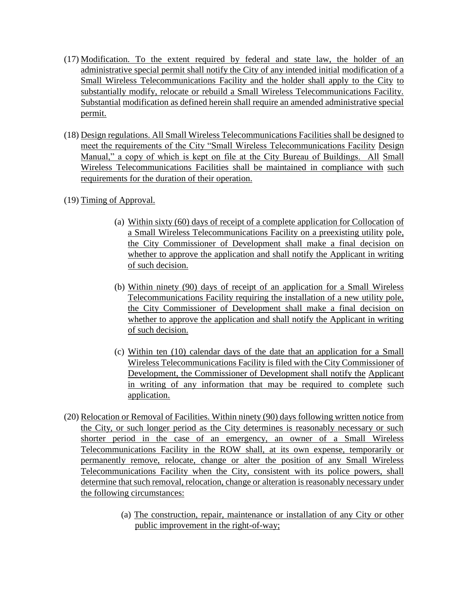- (17) Modification. To the extent required by federal and state law, the holder of an administrative special permit shall notify the City of any intended initial modification of a Small Wireless Telecommunications Facility and the holder shall apply to the City to substantially modify, relocate or rebuild a Small Wireless Telecommunications Facility. Substantial modification as defined herein shall require an amended administrative special permit.
- (18) Design regulations. All Small Wireless Telecommunications Facilities shall be designed to meet the requirements of the City "Small Wireless Telecommunications Facility Design Manual," a copy of which is kept on file at the City Bureau of Buildings. All Small Wireless Telecommunications Facilities shall be maintained in compliance with such requirements for the duration of their operation.
- (19) Timing of Approval.
	- (a) Within sixty (60) days of receipt of a complete application for Collocation of a Small Wireless Telecommunications Facility on a preexisting utility pole, the City Commissioner of Development shall make a final decision on whether to approve the application and shall notify the Applicant in writing of such decision.
	- (b) Within ninety (90) days of receipt of an application for a Small Wireless Telecommunications Facility requiring the installation of a new utility pole, the City Commissioner of Development shall make a final decision on whether to approve the application and shall notify the Applicant in writing of such decision.
	- (c) Within ten (10) calendar days of the date that an application for a Small Wireless Telecommunications Facility is filed with the City Commissioner of Development, the Commissioner of Development shall notify the Applicant in writing of any information that may be required to complete such application.
- (20) Relocation or Removal of Facilities. Within ninety (90) days following written notice from the City, or such longer period as the City determines is reasonably necessary or such shorter period in the case of an emergency, an owner of a Small Wireless Telecommunications Facility in the ROW shall, at its own expense, temporarily or permanently remove, relocate, change or alter the position of any Small Wireless Telecommunications Facility when the City, consistent with its police powers, shall determine that such removal, relocation, change or alteration is reasonably necessary under the following circumstances:
	- (a) The construction, repair, maintenance or installation of any City or other public improvement in the right-of-way;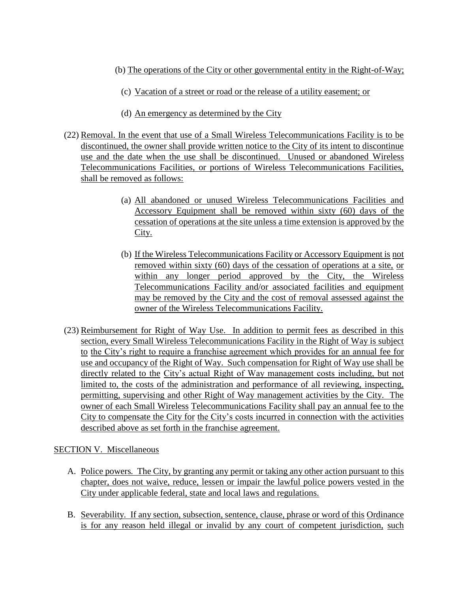- (b) The operations of the City or other governmental entity in the Right-of-Way;
	- (c) Vacation of a street or road or the release of a utility easement; or
	- (d) An emergency as determined by the City
- (22) Removal. In the event that use of a Small Wireless Telecommunications Facility is to be discontinued, the owner shall provide written notice to the City of its intent to discontinue use and the date when the use shall be discontinued. Unused or abandoned Wireless Telecommunications Facilities, or portions of Wireless Telecommunications Facilities, shall be removed as follows:
	- (a) All abandoned or unused Wireless Telecommunications Facilities and Accessory Equipment shall be removed within sixty (60) days of the cessation of operations at the site unless a time extension is approved by the City.
	- (b) If the Wireless Telecommunications Facility or Accessory Equipment is not removed within sixty (60) days of the cessation of operations at a site, or within any longer period approved by the City, the Wireless Telecommunications Facility and/or associated facilities and equipment may be removed by the City and the cost of removal assessed against the owner of the Wireless Telecommunications Facility.
- (23) Reimbursement for Right of Way Use. In addition to permit fees as described in this section, every Small Wireless Telecommunications Facility in the Right of Way is subject to the City's right to require a franchise agreement which provides for an annual fee for use and occupancy of the Right of Way. Such compensation for Right of Way use shall be directly related to the City's actual Right of Way management costs including, but not limited to, the costs of the administration and performance of all reviewing, inspecting, permitting, supervising and other Right of Way management activities by the City. The owner of each Small Wireless Telecommunications Facility shall pay an annual fee to the City to compensate the City for the City's costs incurred in connection with the activities described above as set forth in the franchise agreement.

### SECTION V. Miscellaneous

- A. Police powers*.* The City, by granting any permit or taking any other action pursuant to this chapter, does not waive, reduce, lessen or impair the lawful police powers vested in the City under applicable federal, state and local laws and regulations.
- B. Severability*.* If any section, subsection, sentence, clause, phrase or word of this Ordinance is for any reason held illegal or invalid by any court of competent jurisdiction, such